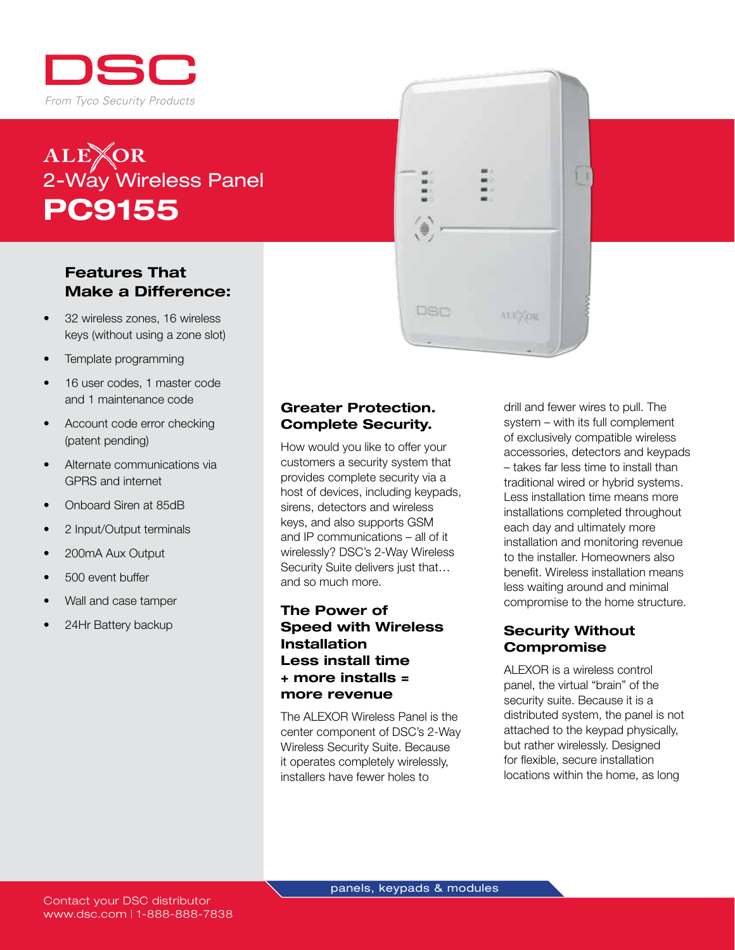

# ALE**TOR**<br>2-Way Wireless Panel PC9155

### Features That Make a Difference:

- 32 wireless zones, 16 wireless keys (without using a zone slot)
- Template programming
- 16 user codes, 1 master code and 1 maintenance code
- Account code error checking (patent pending)
- Alternate communications via GPRS and internet
- Onboard Siren at 85dB
- 2 Input/Output terminals
- 200mA Aux Output
- 500 event buffer
- Wall and case tamper
- 24Hr Battery backup

#### Greater Protection. Complete Security.

DSC

ALEXOR

How would you like to offer your customers a security system that provides complete security via a host of devices, including keypads, sirens, detectors and wireless keys, and also supports GSM and IP communications – all of it wirelessly? DSC's 2-Way Wireless Security Suite delivers just that… and so much more.

#### The Power of Speed with Wireless Installation Less install time + more installs = more revenue

The ALEXOR Wireless Panel is the center component of DSC's 2-Way Wireless Security Suite. Because it operates completely wirelessly, installers have fewer holes to

drill and fewer wires to pull. The system – with its full complement of exclusively compatible wireless accessories, detectors and keypads – takes far less time to install than traditional wired or hybrid systems. Less installation time means more installations completed throughout each day and ultimately more installation and monitoring revenue to the installer. Homeowners also benefit. Wireless installation means less waiting around and minimal compromise to the home structure.

H

#### Security Without Compromise

ALEXOR is a wireless control panel, the virtual "brain" of the security suite. Because it is a distributed system, the panel is not attached to the keypad physically, but rather wirelessly. Designed for flexible, secure installation locations within the home, as long